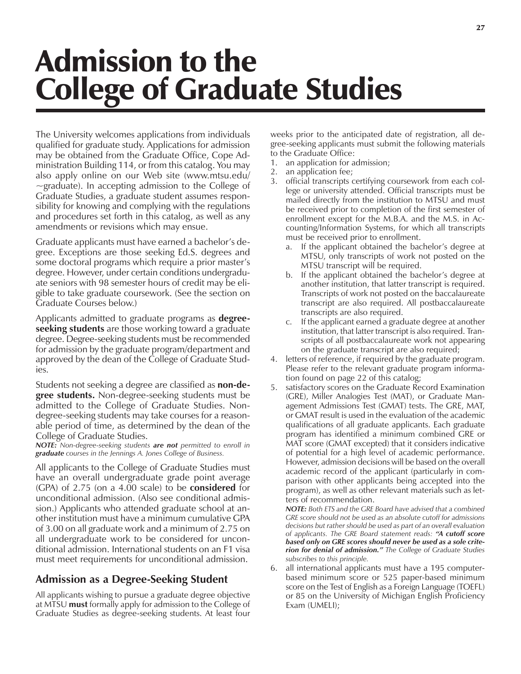# Admission to the College of Graduate Studies

The University welcomes applications from individuals qualified for graduate study. Applications for admission may be obtained from the Graduate Office, Cope Administration Building 114, or from this catalog. You may also apply online on our Web site (www.mtsu.edu/ ~graduate). In accepting admission to the College of Graduate Studies, a graduate student assumes responsibility for knowing and complying with the regulations and procedures set forth in this catalog, as well as any amendments or revisions which may ensue.

Graduate applicants must have earned a bachelor's degree. Exceptions are those seeking Ed.S. degrees and some doctoral programs which require a prior master's degree. However, under certain conditions undergraduate seniors with 98 semester hours of credit may be eligible to take graduate coursework. (See the section on Graduate Courses below.)

Applicants admitted to graduate programs as **degreeseeking students** are those working toward a graduate degree. Degree-seeking students must be recommended for admission by the graduate program/department and approved by the dean of the College of Graduate Studies.

Students not seeking a degree are classified as **non-degree students.** Non-degree-seeking students must be admitted to the College of Graduate Studies. Nondegree-seeking students may take courses for a reasonable period of time, as determined by the dean of the College of Graduate Studies.

*NOTE: Non-degree-seeking students are not permitted to enroll in graduate courses in the Jennings A. Jones College of Business.*

All applicants to the College of Graduate Studies must have an overall undergraduate grade point average (GPA) of 2.75 (on a 4.00 scale) to be **considered** for unconditional admission. (Also see conditional admission.) Applicants who attended graduate school at another institution must have a minimum cumulative GPA of 3.00 on all graduate work and a minimum of 2.75 on all undergraduate work to be considered for unconditional admission. International students on an F1 visa must meet requirements for unconditional admission.

## **Admission as a Degree-Seeking Student**

All applicants wishing to pursue a graduate degree objective at MTSU **must** formally apply for admission to the College of Graduate Studies as degree-seeking students. At least four weeks prior to the anticipated date of registration, all degree-seeking applicants must submit the following materials to the Graduate Office:

- 1. an application for admission;
- 2. an application fee;
- 3. official transcripts certifying coursework from each college or university attended. Official transcripts must be mailed directly from the institution to MTSU and must be received prior to completion of the first semester of enrollment except for the M.B.A. and the M.S. in Accounting/Information Systems, for which all transcripts must be received prior to enrollment.
	- If the applicant obtained the bachelor's degree at MTSU, only transcripts of work not posted on the MTSU transcript will be required.
	- b. If the applicant obtained the bachelor's degree at another institution, that latter transcript is required. Transcripts of work not posted on the baccalaureate transcript are also required. All postbaccalaureate transcripts are also required.
	- c. If the applicant earned a graduate degree at another institution, that latter transcript is also required. Transcripts of all postbaccalaureate work not appearing on the graduate transcript are also required;
- 4. letters of reference, if required by the graduate program. Please refer to the relevant graduate program information found on page 22 of this catalog;
- 5. satisfactory scores on the Graduate Record Examination (GRE), Miller Analogies Test (MAT), or Graduate Management Admissions Test (GMAT) tests. The GRE, MAT, or GMAT result is used in the evaluation of the academic qualifications of all graduate applicants. Each graduate program has identified a minimum combined GRE or MAT score (GMAT excepted) that it considers indicative of potential for a high level of academic performance. However, admission decisions will be based on the overall academic record of the applicant (particularly in comparison with other applicants being accepted into the program), as well as other relevant materials such as letters of recommendation.

*NOTE: Both ETS and the GRE Board have advised that a combined GRE score should not be used as an absolute cutoff for admissions decisions but rather should be used as part of an overall evaluation of applicants. The GRE Board statement reads: ìA cutoff score based only on GRE scores should never be used as a sole criterion for denial of admission.î The College of Graduate Studies subscribes to this principle.*

6. all international applicants must have a 195 computerbased minimum score or 525 paper-based minimum score on the Test of English as a Foreign Language (TOEFL) or 85 on the University of Michigan English Proficiency Exam (UMELI);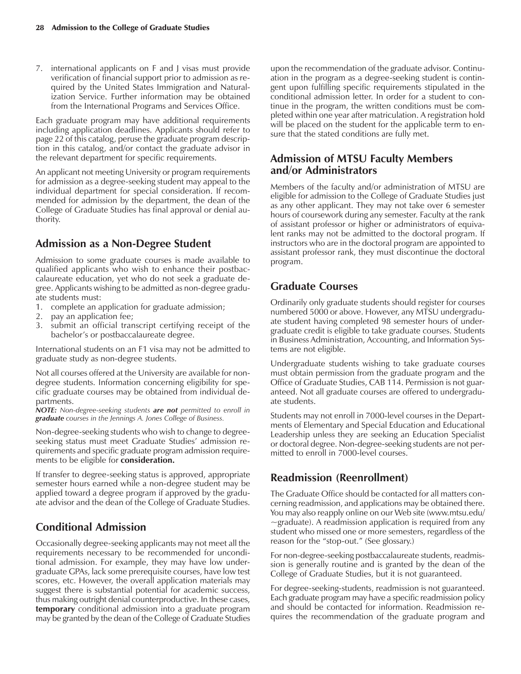7. international applicants on F and J visas must provide verification of financial support prior to admission as required by the United States Immigration and Naturalization Service. Further information may be obtained from the International Programs and Services Office.

Each graduate program may have additional requirements including application deadlines. Applicants should refer to page 22 of this catalog, peruse the graduate program description in this catalog, and/or contact the graduate advisor in the relevant department for specific requirements.

An applicant not meeting University or program requirements for admission as a degree-seeking student may appeal to the individual department for special consideration. If recommended for admission by the department, the dean of the College of Graduate Studies has final approval or denial authority.

#### **Admission as a Non-Degree Student**

Admission to some graduate courses is made available to qualified applicants who wish to enhance their postbaccalaureate education, yet who do not seek a graduate degree. Applicants wishing to be admitted as non-degree graduate students must:

- 1. complete an application for graduate admission;
- 2. pay an application fee;
- 3. submit an official transcript certifying receipt of the bachelor's or postbaccalaureate degree.

International students on an F1 visa may not be admitted to graduate study as non-degree students.

Not all courses offered at the University are available for nondegree students. Information concerning eligibility for specific graduate courses may be obtained from individual departments.

*NOTE: Non-degree-seeking students are not permitted to enroll in graduate courses in the Jennings A. Jones College of Business.*

Non-degree-seeking students who wish to change to degreeseeking status must meet Graduate Studies' admission requirements and specific graduate program admission requirements to be eligible for **consideration.**

If transfer to degree-seeking status is approved, appropriate semester hours earned while a non-degree student may be applied toward a degree program if approved by the graduate advisor and the dean of the College of Graduate Studies.

# **Conditional Admission**

Occasionally degree-seeking applicants may not meet all the requirements necessary to be recommended for unconditional admission. For example, they may have low undergraduate GPAs, lack some prerequisite courses, have low test scores, etc. However, the overall application materials may suggest there is substantial potential for academic success, thus making outright denial counterproductive. In these cases, **temporary** conditional admission into a graduate program may be granted by the dean of the College of Graduate Studies

upon the recommendation of the graduate advisor. Continuation in the program as a degree-seeking student is contingent upon fulfilling specific requirements stipulated in the conditional admission letter. In order for a student to continue in the program, the written conditions must be completed within one year after matriculation. A registration hold will be placed on the student for the applicable term to ensure that the stated conditions are fully met.

## **Admission of MTSU Faculty Members and/or Administrators**

Members of the faculty and/or administration of MTSU are eligible for admission to the College of Graduate Studies just as any other applicant. They may not take over 6 semester hours of coursework during any semester. Faculty at the rank of assistant professor or higher or administrators of equivalent ranks may not be admitted to the doctoral program. If instructors who are in the doctoral program are appointed to assistant professor rank, they must discontinue the doctoral program.

## **Graduate Courses**

Ordinarily only graduate students should register for courses numbered 5000 or above. However, any MTSU undergraduate student having completed 98 semester hours of undergraduate credit is eligible to take graduate courses. Students in Business Administration, Accounting, and Information Systems are not eligible.

Undergraduate students wishing to take graduate courses must obtain permission from the graduate program and the Office of Graduate Studies, CAB 114. Permission is not guaranteed. Not all graduate courses are offered to undergraduate students.

Students may not enroll in 7000-level courses in the Departments of Elementary and Special Education and Educational Leadership unless they are seeking an Education Specialist or doctoral degree. Non-degree-seeking students are not permitted to enroll in 7000-level courses.

## **Readmission (Reenrollment)**

The Graduate Office should be contacted for all matters concerning readmission, and applications may be obtained there. You may also reapply online on our Web site (www.mtsu.edu/  $\sim$ graduate). A readmission application is required from any student who missed one or more semesters, regardless of the reason for the "stop-out." (See glossary.)

For non-degree-seeking postbaccalaureate students, readmission is generally routine and is granted by the dean of the College of Graduate Studies, but it is not guaranteed.

For degree-seeking-students, readmission is not guaranteed. Each graduate program may have a specific readmission policy and should be contacted for information. Readmission requires the recommendation of the graduate program and